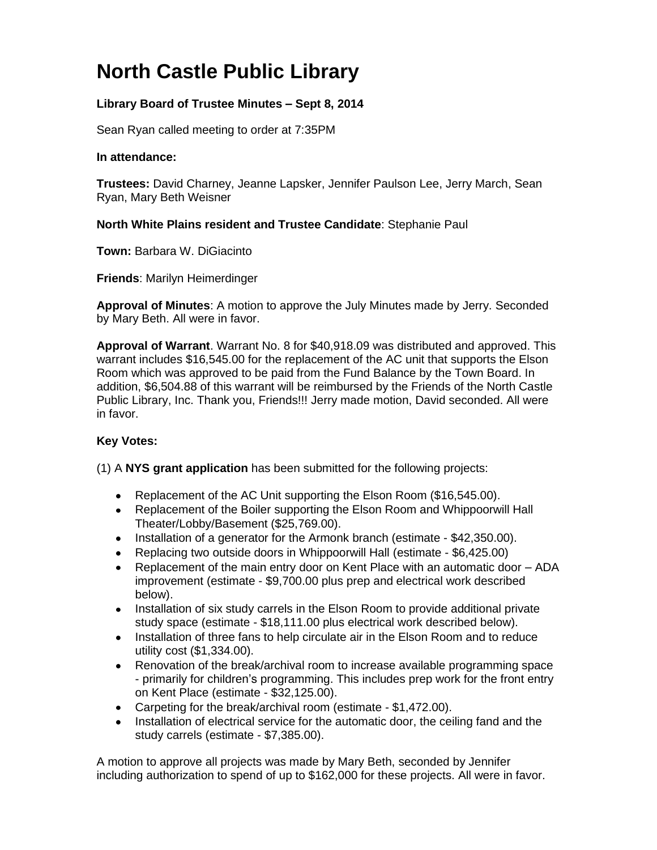# **North Castle Public Library**

# **Library Board of Trustee Minutes – Sept 8, 2014**

Sean Ryan called meeting to order at 7:35PM

#### **In attendance:**

**Trustees:** David Charney, Jeanne Lapsker, Jennifer Paulson Lee, Jerry March, Sean Ryan, Mary Beth Weisner

## **North White Plains resident and Trustee Candidate**: Stephanie Paul

**Town:** [Barbara W. DiGiacinto](http://www.northcastleny.com/users/bdigiacinto/contact)

**Friends**: Marilyn Heimerdinger

**Approval of Minutes**: A motion to approve the July Minutes made by Jerry. Seconded by Mary Beth. All were in favor.

**Approval of Warrant**. Warrant No. 8 for \$40,918.09 was distributed and approved. This warrant includes \$16,545.00 for the replacement of the AC unit that supports the Elson Room which was approved to be paid from the Fund Balance by the Town Board. In addition, \$6,504.88 of this warrant will be reimbursed by the Friends of the North Castle Public Library, Inc. Thank you, Friends!!! Jerry made motion, David seconded. All were in favor.

## **Key Votes:**

(1) A **NYS grant application** has been submitted for the following projects:

- Replacement of the AC Unit supporting the Elson Room (\$16,545.00).
- Replacement of the Boiler supporting the Elson Room and Whippoorwill Hall Theater/Lobby/Basement (\$25,769.00).
- Installation of a generator for the Armonk branch (estimate \$42,350.00).
- Replacing two outside doors in Whippoorwill Hall (estimate \$6,425.00)
- Replacement of the main entry door on Kent Place with an automatic door ADA improvement (estimate - \$9,700.00 plus prep and electrical work described below).
- Installation of six study carrels in the Elson Room to provide additional private study space (estimate - \$18,111.00 plus electrical work described below).
- Installation of three fans to help circulate air in the Elson Room and to reduce utility cost (\$1,334.00).
- Renovation of the break/archival room to increase available programming space - primarily for children's programming. This includes prep work for the front entry on Kent Place (estimate - \$32,125.00).
- Carpeting for the break/archival room (estimate \$1,472.00).
- Installation of electrical service for the automatic door, the ceiling fand and the study carrels (estimate - \$7,385.00).

A motion to approve all projects was made by Mary Beth, seconded by Jennifer including authorization to spend of up to \$162,000 for these projects. All were in favor.